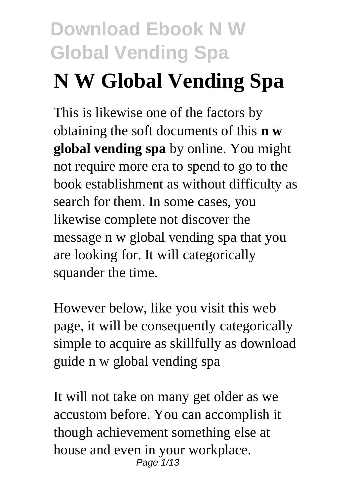# **N W Global Vending Spa**

This is likewise one of the factors by obtaining the soft documents of this **n w global vending spa** by online. You might not require more era to spend to go to the book establishment as without difficulty as search for them. In some cases, you likewise complete not discover the message n w global vending spa that you are looking for. It will categorically squander the time.

However below, like you visit this web page, it will be consequently categorically simple to acquire as skillfully as download guide n w global vending spa

It will not take on many get older as we accustom before. You can accomplish it though achievement something else at house and even in your workplace. Page 1/13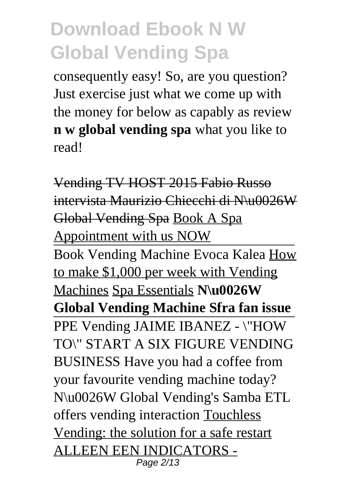consequently easy! So, are you question? Just exercise just what we come up with the money for below as capably as review **n w global vending spa** what you like to read!

Vending TV HOST 2015 Fabio Russo intervista Maurizio Chiecchi di N\u0026W Global Vending Spa Book A Spa Appointment with us NOW Book Vending Machine Evoca Kalea How to make \$1,000 per week with Vending Machines Spa Essentials **N\u0026W Global Vending Machine Sfra fan issue** PPE Vending JAIME IBANEZ - \"HOW TO\" START A SIX FIGURE VENDING BUSINESS Have you had a coffee from your favourite vending machine today? N\u0026W Global Vending's Samba ETL offers vending interaction Touchless Vending: the solution for a safe restart ALLEEN EEN INDICATORS - Page 2/13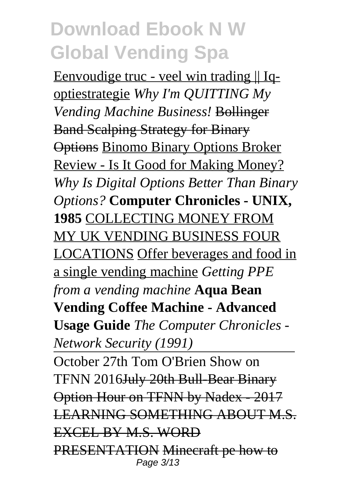Eenvoudige truc - veel win trading || Iqoptiestrategie *Why I'm QUITTING My Vending Machine Business!* Bollinger Band Scalping Strategy for Binary Options Binomo Binary Options Broker Review - Is It Good for Making Money? *Why Is Digital Options Better Than Binary Options?* **Computer Chronicles - UNIX, 1985** COLLECTING MONEY FROM MY UK VENDING BUSINESS FOUR LOCATIONS Offer beverages and food in a single vending machine *Getting PPE from a vending machine* **Aqua Bean Vending Coffee Machine - Advanced Usage Guide** *The Computer Chronicles - Network Security (1991)* October 27th Tom O'Brien Show on TFNN 2016July 20th Bull-Bear Binary Option Hour on TFNN by Nadex - 2017 LEARNING SOMETHING ABOUT M.S. EXCEL BY M.S. WORD PRESENTATION Minecraft pe how to

Page 3/13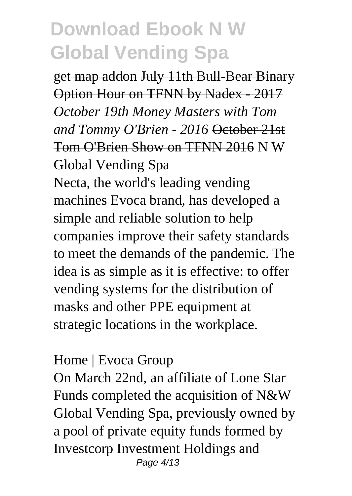get map addon July 11th Bull-Bear Binary Option Hour on TFNN by Nadex - 2017 *October 19th Money Masters with Tom and Tommy O'Brien - 2016* October 21st Tom O'Brien Show on TFNN 2016 N W Global Vending Spa

Necta, the world's leading vending machines Evoca brand, has developed a simple and reliable solution to help companies improve their safety standards to meet the demands of the pandemic. The idea is as simple as it is effective: to offer vending systems for the distribution of masks and other PPE equipment at strategic locations in the workplace.

#### Home | Evoca Group

On March 22nd, an affiliate of Lone Star Funds completed the acquisition of N&W Global Vending Spa, previously owned by a pool of private equity funds formed by Investcorp Investment Holdings and Page 4/13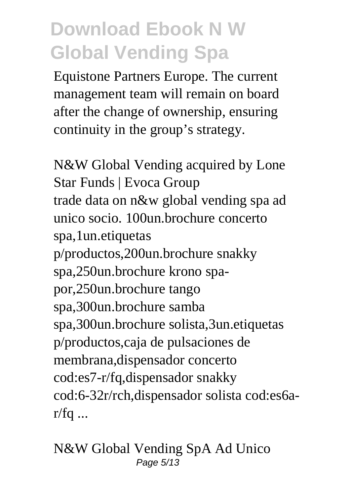Equistone Partners Europe. The current management team will remain on board after the change of ownership, ensuring continuity in the group's strategy.

N&W Global Vending acquired by Lone Star Funds | Evoca Group trade data on n&w global vending spa ad unico socio. 100un.brochure concerto spa,1un.etiquetas p/productos,200un.brochure snakky spa,250un.brochure krono spapor,250un.brochure tango spa,300un.brochure samba spa,300un.brochure solista,3un.etiquetas p/productos,caja de pulsaciones de membrana,dispensador concerto cod:es7-r/fq,dispensador snakky cod:6-32r/rch,dispensador solista cod:es6a $r/fq$  ...

N&W Global Vending SpA Ad Unico Page 5/13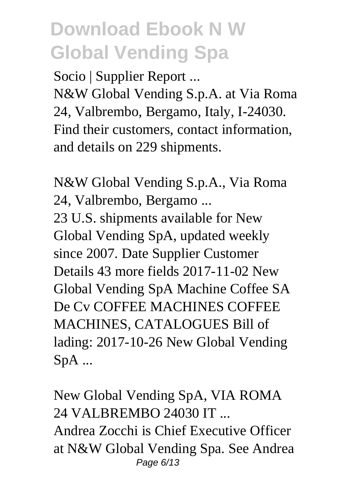Socio | Supplier Report ... N&W Global Vending S.p.A. at Via Roma 24, Valbrembo, Bergamo, Italy, I-24030. Find their customers, contact information, and details on 229 shipments.

N&W Global Vending S.p.A., Via Roma 24, Valbrembo, Bergamo ... 23 U.S. shipments available for New Global Vending SpA, updated weekly since 2007. Date Supplier Customer Details 43 more fields 2017-11-02 New Global Vending SpA Machine Coffee SA De Cv COFFEE MACHINES COFFEE MACHINES, CATALOGUES Bill of lading: 2017-10-26 New Global Vending SpA ...

New Global Vending SpA, VIA ROMA 24 VALBREMBO 24030 IT ... Andrea Zocchi is Chief Executive Officer at N&W Global Vending Spa. See Andrea Page 6/13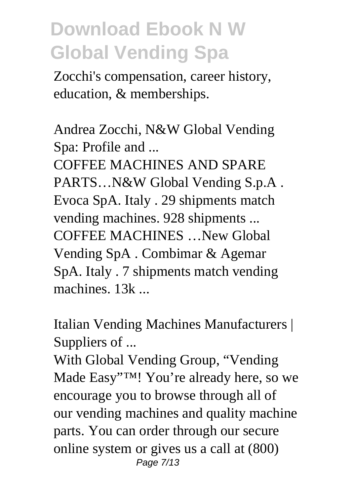Zocchi's compensation, career history, education, & memberships.

Andrea Zocchi, N&W Global Vending Spa: Profile and ...

COFFEE MACHINES AND SPARE PARTS…N&W Global Vending S.p.A . Evoca SpA. Italy . 29 shipments match vending machines. 928 shipments ... COFFEE MACHINES …New Global Vending SpA . Combimar & Agemar SpA. Italy . 7 shipments match vending machines. 13k ...

Italian Vending Machines Manufacturers | Suppliers of ...

With Global Vending Group, "Vending Made Easy"™! You're already here, so we encourage you to browse through all of our vending machines and quality machine parts. You can order through our secure online system or gives us a call at (800) Page 7/13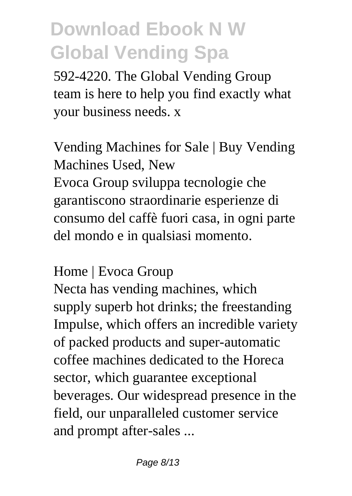592-4220. The Global Vending Group team is here to help you find exactly what your business needs. x

Vending Machines for Sale | Buy Vending Machines Used, New

Evoca Group sviluppa tecnologie che garantiscono straordinarie esperienze di consumo del caffè fuori casa, in ogni parte del mondo e in qualsiasi momento.

Home | Evoca Group

Necta has vending machines, which supply superb hot drinks; the freestanding Impulse, which offers an incredible variety of packed products and super-automatic coffee machines dedicated to the Horeca sector, which guarantee exceptional beverages. Our widespread presence in the field, our unparalleled customer service and prompt after-sales ...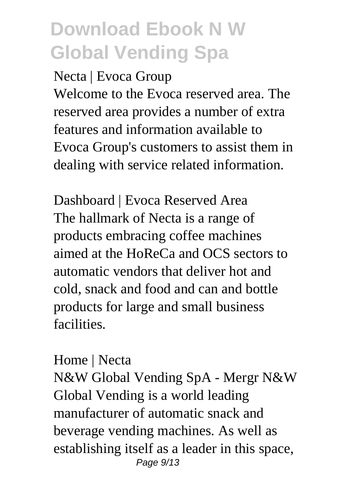Necta | Evoca Group Welcome to the Evoca reserved area. The reserved area provides a number of extra features and information available to Evoca Group's customers to assist them in dealing with service related information.

Dashboard | Evoca Reserved Area The hallmark of Necta is a range of products embracing coffee machines aimed at the HoReCa and OCS sectors to automatic vendors that deliver hot and cold, snack and food and can and bottle products for large and small business **facilities** 

#### Home | Necta

N&W Global Vending SpA - Mergr N&W Global Vending is a world leading manufacturer of automatic snack and beverage vending machines. As well as establishing itself as a leader in this space, Page 9/13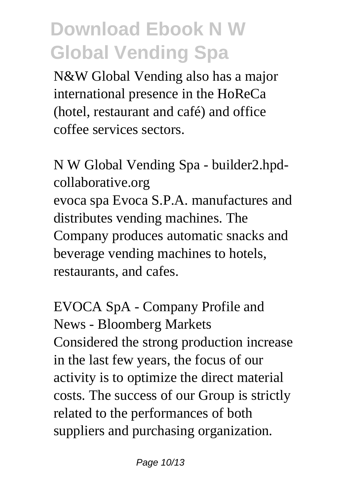N&W Global Vending also has a major international presence in the HoReCa (hotel, restaurant and café) and office coffee services sectors.

N W Global Vending Spa - builder2.hpdcollaborative.org evoca spa Evoca S.P.A. manufactures and distributes vending machines. The Company produces automatic snacks and beverage vending machines to hotels, restaurants, and cafes.

EVOCA SpA - Company Profile and News - Bloomberg Markets Considered the strong production increase in the last few years, the focus of our activity is to optimize the direct material costs. The success of our Group is strictly related to the performances of both suppliers and purchasing organization.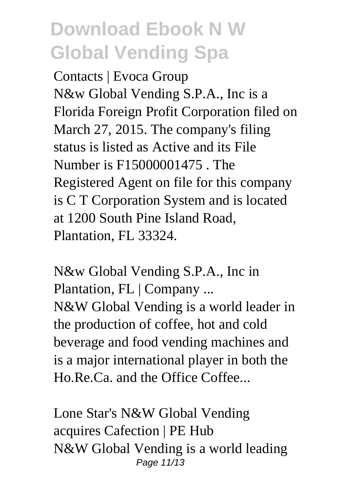Contacts | Evoca Group N&w Global Vending S.P.A., Inc is a Florida Foreign Profit Corporation filed on March 27, 2015. The company's filing status is listed as Active and its File Number is F15000001475 . The Registered Agent on file for this company is C T Corporation System and is located at 1200 South Pine Island Road, Plantation, FL 33324.

N&w Global Vending S.P.A., Inc in Plantation, FL | Company ... N&W Global Vending is a world leader in the production of coffee, hot and cold beverage and food vending machines and is a major international player in both the Ho.Re.Ca. and the Office Coffee...

Lone Star's N&W Global Vending acquires Cafection | PE Hub N&W Global Vending is a world leading Page 11/13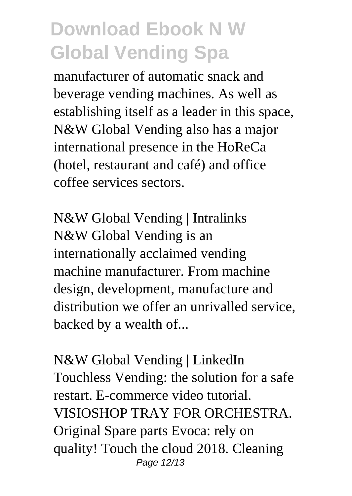manufacturer of automatic snack and beverage vending machines. As well as establishing itself as a leader in this space, N&W Global Vending also has a major international presence in the HoReCa (hotel, restaurant and café) and office coffee services sectors.

N&W Global Vending | Intralinks N&W Global Vending is an internationally acclaimed vending machine manufacturer. From machine design, development, manufacture and distribution we offer an unrivalled service, backed by a wealth of...

N&W Global Vending | LinkedIn Touchless Vending: the solution for a safe restart. E-commerce video tutorial. VISIOSHOP TRAY FOR ORCHESTRA. Original Spare parts Evoca: rely on quality! Touch the cloud 2018. Cleaning Page 12/13